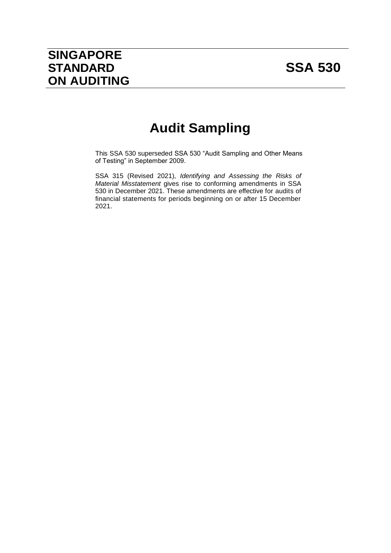# **Audit Sampling**

This SSA 530 superseded SSA 530 "Audit Sampling and Other Means of Testing" in September 2009.

SSA 315 (Revised 2021), *Identifying and Assessing the Risks of Material Misstatement* gives rise to conforming amendments in SSA 530 in December 2021. These amendments are effective for audits of financial statements for periods beginning on or after 15 December 2021.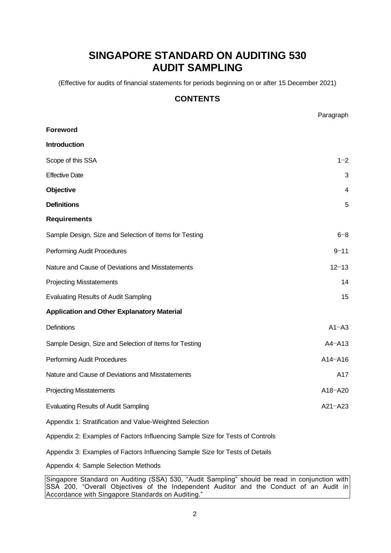# **SINGAPORE STANDARD ON AUDITING 530 AUDIT SAMPLING**

(Effective for audits of financial statements for periods beginning on or after 15 December 2021)

#### **CONTENTS**

Paragraph

| <b>Foreword</b>                                                               |             |
|-------------------------------------------------------------------------------|-------------|
| <b>Introduction</b>                                                           |             |
| Scope of this SSA                                                             | $1 - 2$     |
| <b>Effective Date</b>                                                         | 3           |
| Objective                                                                     | 4           |
| <b>Definitions</b>                                                            | 5           |
| <b>Requirements</b>                                                           |             |
| Sample Design, Size and Selection of Items for Testing                        | $6 - 8$     |
| Performing Audit Procedures                                                   | $9 - 11$    |
| Nature and Cause of Deviations and Misstatements                              | $12 - 13$   |
| <b>Projecting Misstatements</b>                                               | 14          |
| <b>Evaluating Results of Audit Sampling</b>                                   | 15          |
| <b>Application and Other Explanatory Material</b>                             |             |
| Definitions                                                                   | $A1 - A3$   |
| Sample Design, Size and Selection of Items for Testing                        | $A4 - A13$  |
| Performing Audit Procedures                                                   | $A14 - A16$ |
| Nature and Cause of Deviations and Misstatements                              | A17         |
| <b>Projecting Misstatements</b>                                               | A18-A20     |
| <b>Evaluating Results of Audit Sampling</b>                                   | $A21 - A23$ |
| Appendix 1: Stratification and Value-Weighted Selection                       |             |
| Appendix 2: Examples of Factors Influencing Sample Size for Tests of Controls |             |
| Appendix 3: Examples of Factors Influencing Sample Size for Tests of Details  |             |
| Appendix 4: Sample Selection Methods                                          |             |

Singapore Standard on Auditing (SSA) 530, "Audit Sampling" should be read in conjunction with SSA 200, "Overall Objectives of the Independent Auditor and the Conduct of an Audit in Accordance with Singapore Standards on Auditing."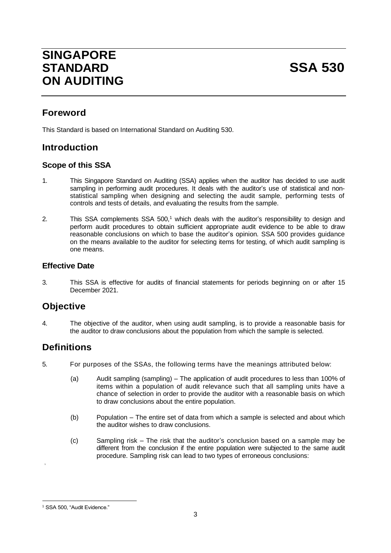# **SINGAPORE STANDARD SSA 530 ON AUDITING**

# **Foreword**

This Standard is based on International Standard on Auditing 530.

# **Introduction**

### **Scope of this SSA**

- 1. This Singapore Standard on Auditing (SSA) applies when the auditor has decided to use audit sampling in performing audit procedures. It deals with the auditor's use of statistical and nonstatistical sampling when designing and selecting the audit sample, performing tests of controls and tests of details, and evaluating the results from the sample.
- 2. This SSA complements SSA 500,<sup>1</sup> which deals with the auditor's responsibility to design and perform audit procedures to obtain sufficient appropriate audit evidence to be able to draw reasonable conclusions on which to base the auditor's opinion*.* SSA 500 provides guidance on the means available to the auditor for selecting items for testing, of which audit sampling is one means.

#### **Effective Date**

3. This SSA is effective for audits of financial statements for periods beginning on or after 15 December 2021.

# **Objective**

4. The objective of the auditor, when using audit sampling, is to provide a reasonable basis for the auditor to draw conclusions about the population from which the sample is selected.

# **Definitions**

- 5. For purposes of the SSAs, the following terms have the meanings attributed below:
	- (a) Audit sampling (sampling) The application of audit procedures to less than 100% of items within a population of audit relevance such that all sampling units have a chance of selection in order to provide the auditor with a reasonable basis on which to draw conclusions about the entire population.
	- (b) Population The entire set of data from which a sample is selected and about which the auditor wishes to draw conclusions.
	- (c) Sampling risk The risk that the auditor's conclusion based on a sample may be different from the conclusion if the entire population were subjected to the same audit procedure. Sampling risk can lead to two types of erroneous conclusions:

<sup>1</sup> SSA 500, "Audit Evidence."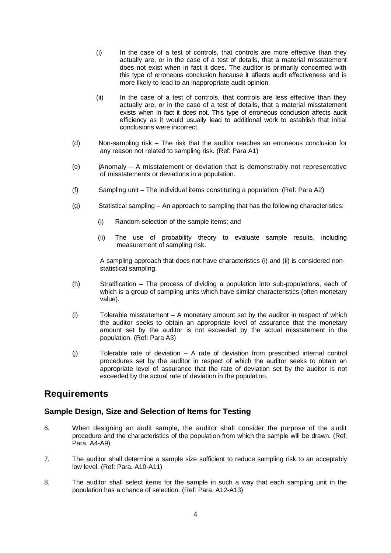- (i) In the case of a test of controls, that controls are more effective than they actually are, or in the case of a test of details, that a material misstatement does not exist when in fact it does. The auditor is primarily concerned with this type of erroneous conclusion because it affects audit effectiveness and is more likely to lead to an inappropriate audit opinion.
- (ii) In the case of a test of controls, that controls are less effective than they actually are, or in the case of a test of details, that a material misstatement exists when in fact it does not. This type of erroneous conclusion affects audit efficiency as it would usually lead to additional work to establish that initial conclusions were incorrect.
- (d) Non-sampling risk The risk that the auditor reaches an erroneous conclusion for any reason not related to sampling risk. (Ref: Para A1)
- $(e)$  (Anomaly A misstatement or deviation that is demonstrably not representative of misstatements or deviations in a population.
- (f) Sampling unit The individual items constituting a population. (Ref: Para A2)
- (g) Statistical sampling An approach to sampling that has the following characteristics:
	- (i) Random selection of the sample items; and
	- (ii) The use of probability theory to evaluate sample results, including measurement of sampling risk.

A sampling approach that does not have characteristics (i) and (ii) is considered nonstatistical sampling.

- (h) Stratification The process of dividing a population into sub-populations, each of which is a group of sampling units which have similar characteristics (often monetary value).
- (i) Tolerable misstatement A monetary amount set by the auditor in respect of which the auditor seeks to obtain an appropriate level of assurance that the monetary amount set by the auditor is not exceeded by the actual misstatement in the population. (Ref: Para A3)
- (j) Tolerable rate of deviation A rate of deviation from prescribed internal control procedures set by the auditor in respect of which the auditor seeks to obtain an appropriate level of assurance that the rate of deviation set by the auditor is not exceeded by the actual rate of deviation in the population.

### **Requirements**

#### **Sample Design, Size and Selection of Items for Testing**

- 6. When designing an audit sample, the auditor shall consider the purpose of the audit procedure and the characteristics of the population from which the sample will be drawn. (Ref: Para. A4-A9)
- 7. The auditor shall determine a sample size sufficient to reduce sampling risk to an acceptably low level. (Ref: Para. A10-A11)
- 8. The auditor shall select items for the sample in such a way that each sampling unit in the population has a chance of selection. (Ref: Para. A12-A13)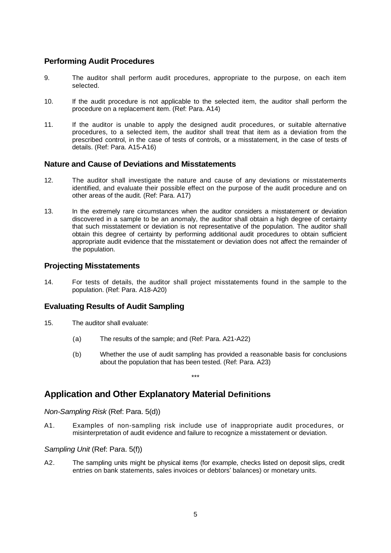#### **Performing Audit Procedures**

- 9. The auditor shall perform audit procedures, appropriate to the purpose, on each item selected.
- 10. If the audit procedure is not applicable to the selected item, the auditor shall perform the procedure on a replacement item. (Ref: Para. A14)
- 11. If the auditor is unable to apply the designed audit procedures, or suitable alternative procedures, to a selected item, the auditor shall treat that item as a deviation from the prescribed control, in the case of tests of controls, or a misstatement, in the case of tests of details. (Ref: Para. A15-A16)

#### **Nature and Cause of Deviations and Misstatements**

- 12. The auditor shall investigate the nature and cause of any deviations or misstatements identified, and evaluate their possible effect on the purpose of the audit procedure and on other areas of the audit. (Ref: Para. A17)
- 13. In the extremely rare circumstances when the auditor considers a misstatement or deviation discovered in a sample to be an anomaly, the auditor shall obtain a high degree of certainty that such misstatement or deviation is not representative of the population. The auditor shall obtain this degree of certainty by performing additional audit procedures to obtain sufficient appropriate audit evidence that the misstatement or deviation does not affect the remainder of the population.

#### **Projecting Misstatements**

14. For tests of details, the auditor shall project misstatements found in the sample to the population. (Ref: Para. A18-A20)

#### **Evaluating Results of Audit Sampling**

- 15. The auditor shall evaluate:
	- (a) The results of the sample; and (Ref: Para. A21-A22)
	- (b) Whether the use of audit sampling has provided a reasonable basis for conclusions about the population that has been tested. (Ref: Para. A23)

# **Application and Other Explanatory Material Definitions**

*Non-Sampling Risk* (Ref: Para. 5(d))

A1. Examples of non-sampling risk include use of inappropriate audit procedures, or misinterpretation of audit evidence and failure to recognize a misstatement or deviation.

\*\*\*

#### *Sampling Unit* (Ref: Para. 5(f))

A2. The sampling units might be physical items (for example, checks listed on deposit slips, credit entries on bank statements, sales invoices or debtors' balances) or monetary units.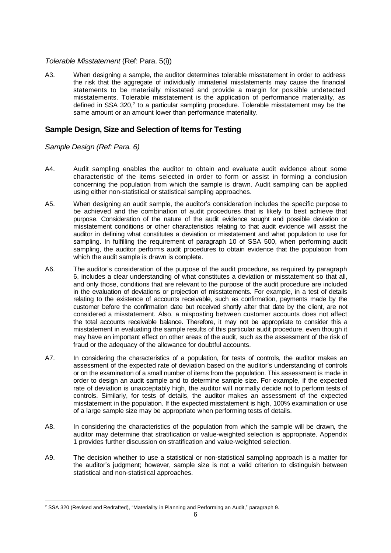#### *Tolerable Misstatement* (Ref: Para. 5(i))

A3. When designing a sample, the auditor determines tolerable misstatement in order to address the risk that the aggregate of individually immaterial misstatements may cause the financial statements to be materially misstated and provide a margin for possible undetected misstatements. Tolerable misstatement is the application of performance materiality, as defined in SSA 320, $2$  to a particular sampling procedure. Tolerable misstatement may be the same amount or an amount lower than performance materiality.

#### **Sample Design, Size and Selection of Items for Testing**

#### *Sample Design (Ref: Para. 6)*

- A4. Audit sampling enables the auditor to obtain and evaluate audit evidence about some characteristic of the items selected in order to form or assist in forming a conclusion concerning the population from which the sample is drawn. Audit sampling can be applied using either non-statistical or statistical sampling approaches.
- A5. When designing an audit sample, the auditor's consideration includes the specific purpose to be achieved and the combination of audit procedures that is likely to best achieve that purpose. Consideration of the nature of the audit evidence sought and possible deviation or misstatement conditions or other characteristics relating to that audit evidence will assist the auditor in defining what constitutes a deviation or misstatement and what population to use for sampling. In fulfilling the requirement of paragraph 10 of SSA 500, when performing audit sampling, the auditor performs audit procedures to obtain evidence that the population from which the audit sample is drawn is complete.
- A6. The auditor's consideration of the purpose of the audit procedure, as required by paragraph 6, includes a clear understanding of what constitutes a deviation or misstatement so that all, and only those, conditions that are relevant to the purpose of the audit procedure are included in the evaluation of deviations or projection of misstatements. For example, in a test of details relating to the existence of accounts receivable, such as confirmation, payments made by the customer before the confirmation date but received shortly after that date by the client, are not considered a misstatement. Also, a misposting between customer accounts does not affect the total accounts receivable balance. Therefore, it may not be appropriate to consider this a misstatement in evaluating the sample results of this particular audit procedure, even though it may have an important effect on other areas of the audit, such as the assessment of the risk of fraud or the adequacy of the allowance for doubtful accounts.
- A7. In considering the characteristics of a population, for tests of controls, the auditor makes an assessment of the expected rate of deviation based on the auditor's understanding of controls or on the examination of a small number of items from the population. This assessment is made in order to design an audit sample and to determine sample size. For example, if the expected rate of deviation is unacceptably high, the auditor will normally decide not to perform tests of controls. Similarly, for tests of details, the auditor makes an assessment of the expected misstatement in the population. If the expected misstatement is high, 100% examination or use of a large sample size may be appropriate when performing tests of details.
- A8. In considering the characteristics of the population from which the sample will be drawn, the auditor may determine that stratification or value-weighted selection is appropriate. Appendix 1 provides further discussion on stratification and value-weighted selection.
- A9. The decision whether to use a statistical or non-statistical sampling approach is a matter for the auditor's judgment; however, sample size is not a valid criterion to distinguish between statistical and non-statistical approaches.

<sup>2</sup> SSA 320 (Revised and Redrafted), "Materiality in Planning and Performing an Audit," paragraph 9.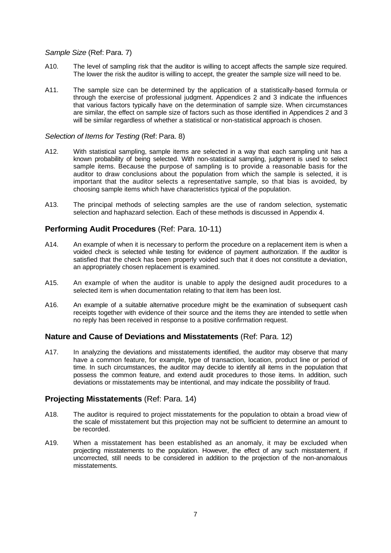#### *Sample Size* (Ref: Para. 7)

- A10. The level of sampling risk that the auditor is willing to accept affects the sample size required. The lower the risk the auditor is willing to accept, the greater the sample size will need to be.
- A11. The sample size can be determined by the application of a statistically-based formula or through the exercise of professional judgment. Appendices 2 and 3 indicate the influences that various factors typically have on the determination of sample size. When circumstances are similar, the effect on sample size of factors such as those identified in Appendices 2 and 3 will be similar regardless of whether a statistical or non-statistical approach is chosen.

#### *Selection of Items for Testing* (Ref: Para. 8)

- A12. With statistical sampling, sample items are selected in a way that each sampling unit has a known probability of being selected. With non-statistical sampling, judgment is used to select sample items. Because the purpose of sampling is to provide a reasonable basis for the auditor to draw conclusions about the population from which the sample is selected, it is important that the auditor selects a representative sample, so that bias is avoided, by choosing sample items which have characteristics typical of the population.
- A13. The principal methods of selecting samples are the use of random selection, systematic selection and haphazard selection. Each of these methods is discussed in Appendix 4.

#### **Performing Audit Procedures** (Ref: Para. 10-11)

- A14. An example of when it is necessary to perform the procedure on a replacement item is when a voided check is selected while testing for evidence of payment authorization. If the auditor is satisfied that the check has been properly voided such that it does not constitute a deviation, an appropriately chosen replacement is examined.
- A15. An example of when the auditor is unable to apply the designed audit procedures to a selected item is when documentation relating to that item has been lost.
- A16. An example of a suitable alternative procedure might be the examination of subsequent cash receipts together with evidence of their source and the items they are intended to settle when no reply has been received in response to a positive confirmation request.

#### **Nature and Cause of Deviations and Misstatements** (Ref: Para. 12)

A17. In analyzing the deviations and misstatements identified, the auditor may observe that many have a common feature, for example, type of transaction, location, product line or period of time. In such circumstances, the auditor may decide to identify all items in the population that possess the common feature, and extend audit procedures to those items. In addition, such deviations or misstatements may be intentional, and may indicate the possibility of fraud.

#### **Projecting Misstatements** (Ref: Para. 14)

- A18. The auditor is required to project misstatements for the population to obtain a broad view of the scale of misstatement but this projection may not be sufficient to determine an amount to be recorded.
- A19. When a misstatement has been established as an anomaly, it may be excluded when projecting misstatements to the population. However, the effect of any such misstatement, if uncorrected, still needs to be considered in addition to the projection of the non-anomalous misstatements.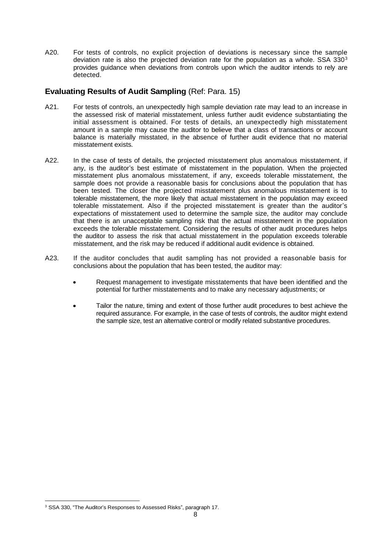A20. For tests of controls, no explicit projection of deviations is necessary since the sample deviation rate is also the projected deviation rate for the population as a whole. SSA 330<sup>3</sup> provides guidance when deviations from controls upon which the auditor intends to rely are detected.

#### **Evaluating Results of Audit Sampling** (Ref: Para. 15)

- A21. For tests of controls, an unexpectedly high sample deviation rate may lead to an increase in the assessed risk of material misstatement, unless further audit evidence substantiating the initial assessment is obtained. For tests of details, an unexpectedly high misstatement amount in a sample may cause the auditor to believe that a class of transactions or account balance is materially misstated, in the absence of further audit evidence that no material misstatement exists.
- A22. In the case of tests of details, the projected misstatement plus anomalous misstatement, if any, is the auditor's best estimate of misstatement in the population. When the projected misstatement plus anomalous misstatement, if any, exceeds tolerable misstatement, the sample does not provide a reasonable basis for conclusions about the population that has been tested. The closer the projected misstatement plus anomalous misstatement is to tolerable misstatement, the more likely that actual misstatement in the population may exceed tolerable misstatement. Also if the projected misstatement is greater than the auditor's expectations of misstatement used to determine the sample size, the auditor may conclude that there is an unacceptable sampling risk that the actual misstatement in the population exceeds the tolerable misstatement. Considering the results of other audit procedures helps the auditor to assess the risk that actual misstatement in the population exceeds tolerable misstatement, and the risk may be reduced if additional audit evidence is obtained.
- A23. If the auditor concludes that audit sampling has not provided a reasonable basis for conclusions about the population that has been tested, the auditor may:
	- Request management to investigate misstatements that have been identified and the potential for further misstatements and to make any necessary adjustments; or
	- Tailor the nature, timing and extent of those further audit procedures to best achieve the required assurance. For example, in the case of tests of controls, the auditor might extend the sample size, test an alternative control or modify related substantive procedures.

<sup>&</sup>lt;sup>3</sup> SSA 330, "The Auditor's Responses to Assessed Risks", paragraph 17.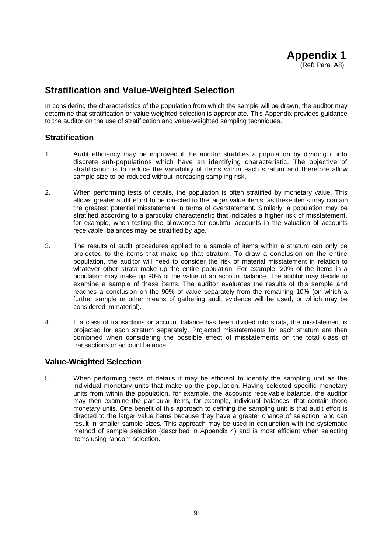### **Stratification and Value-Weighted Selection**

In considering the characteristics of the population from which the sample will be drawn, the auditor may determine that stratification or value-weighted selection is appropriate. This Appendix provides guidance to the auditor on the use of stratification and value-weighted sampling techniques.

#### **Stratification**

- 1. Audit efficiency may be improved if the auditor stratifies a population by dividing it into discrete sub-populations which have an identifying characteristic. The objective of stratification is to reduce the variability of items within each stratum and therefore allow sample size to be reduced without increasing sampling risk.
- 2. When performing tests of details, the population is often stratified by monetary value. This allows greater audit effort to be directed to the larger value items, as these items may contain the greatest potential misstatement in terms of overstatement. Similarly, a population may be stratified according to a particular characteristic that indicates a higher risk of misstatement, for example, when testing the allowance for doubtful accounts in the valuation of accounts receivable, balances may be stratified by age.
- 3. The results of audit procedures applied to a sample of items within a stratum can only be projected to the items that make up that stratum. To draw a conclusion on the entire population, the auditor will need to consider the risk of material misstatement in relation to whatever other strata make up the entire population. For example, 20% of the items in a population may make up 90% of the value of an account balance. The auditor may decide to examine a sample of these items. The auditor evaluates the results of this sample and reaches a conclusion on the 90% of value separately from the remaining 10% (on which a further sample or other means of gathering audit evidence will be used, or which may be considered immaterial).
- 4. If a class of transactions or account balance has been divided into strata, the misstatement is projected for each stratum separately. Projected misstatements for each stratum are then combined when considering the possible effect of misstatements on the total class of transactions or account balance.

#### **Value-Weighted Selection**

5. When performing tests of details it may be efficient to identify the sampling unit as the individual monetary units that make up the population. Having selected specific monetary units from within the population, for example, the accounts receivable balance, the auditor may then examine the particular items, for example, individual balances, that contain those monetary units. One benefit of this approach to defining the sampling unit is that audit effort is directed to the larger value items because they have a greater chance of selection, and can result in smaller sample sizes. This approach may be used in conjunction with the systematic method of sample selection (described in Appendix 4) and is most efficient when selecting items using random selection.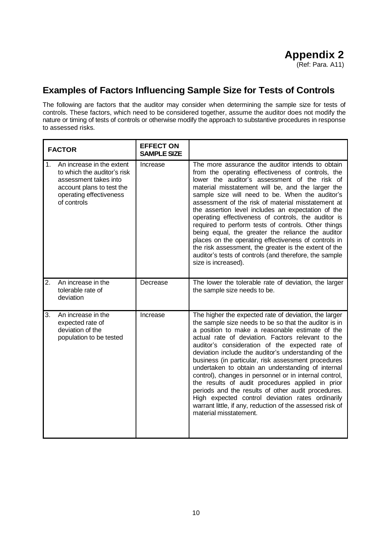# **Examples of Factors Influencing Sample Size for Tests of Controls**

The following are factors that the auditor may consider when determining the sample size for tests of controls. These factors, which need to be considered together, assume the auditor does not modify the nature or timing of tests of controls or otherwise modify the approach to substantive procedures in response to assessed risks.

|                  | <b>FACTOR</b>                                                                                                                                            | <b>EFFECT ON</b><br><b>SAMPLE SIZE</b> |                                                                                                                                                                                                                                                                                                                                                                                                                                                                                                                                                                                                                                                                                                                                                              |
|------------------|----------------------------------------------------------------------------------------------------------------------------------------------------------|----------------------------------------|--------------------------------------------------------------------------------------------------------------------------------------------------------------------------------------------------------------------------------------------------------------------------------------------------------------------------------------------------------------------------------------------------------------------------------------------------------------------------------------------------------------------------------------------------------------------------------------------------------------------------------------------------------------------------------------------------------------------------------------------------------------|
| 1.               | An increase in the extent<br>to which the auditor's risk<br>assessment takes into<br>account plans to test the<br>operating effectiveness<br>of controls | Increase                               | The more assurance the auditor intends to obtain<br>from the operating effectiveness of controls, the<br>lower the auditor's assessment of the risk of<br>material misstatement will be, and the larger the<br>sample size will need to be. When the auditor's<br>assessment of the risk of material misstatement at<br>the assertion level includes an expectation of the<br>operating effectiveness of controls, the auditor is<br>required to perform tests of controls. Other things<br>being equal, the greater the reliance the auditor<br>places on the operating effectiveness of controls in<br>the risk assessment, the greater is the extent of the<br>auditor's tests of controls (and therefore, the sample<br>size is increased).              |
| $\overline{2}$ . | An increase in the<br>tolerable rate of<br>deviation                                                                                                     | Decrease                               | The lower the tolerable rate of deviation, the larger<br>the sample size needs to be.                                                                                                                                                                                                                                                                                                                                                                                                                                                                                                                                                                                                                                                                        |
| 3.               | An increase in the<br>expected rate of<br>deviation of the<br>population to be tested                                                                    | Increase                               | The higher the expected rate of deviation, the larger<br>the sample size needs to be so that the auditor is in<br>a position to make a reasonable estimate of the<br>actual rate of deviation. Factors relevant to the<br>auditor's consideration of the expected rate of<br>deviation include the auditor's understanding of the<br>business (in particular, risk assessment procedures<br>undertaken to obtain an understanding of internal<br>control), changes in personnel or in internal control,<br>the results of audit procedures applied in prior<br>periods and the results of other audit procedures.<br>High expected control deviation rates ordinarily<br>warrant little, if any, reduction of the assessed risk of<br>material misstatement. |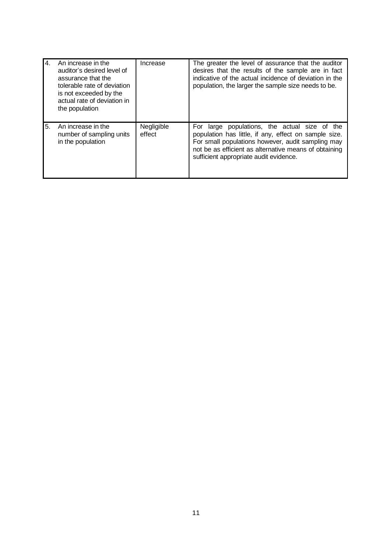| 4. | An increase in the<br>auditor's desired level of<br>assurance that the<br>tolerable rate of deviation<br>is not exceeded by the<br>actual rate of deviation in<br>the population | Increase             | The greater the level of assurance that the auditor<br>desires that the results of the sample are in fact<br>indicative of the actual incidence of deviation in the<br>population, the larger the sample size needs to be.                                     |
|----|----------------------------------------------------------------------------------------------------------------------------------------------------------------------------------|----------------------|----------------------------------------------------------------------------------------------------------------------------------------------------------------------------------------------------------------------------------------------------------------|
| 5. | An increase in the<br>number of sampling units<br>in the population                                                                                                              | Negligible<br>effect | For large populations, the actual size of the<br>population has little, if any, effect on sample size.<br>For small populations however, audit sampling may<br>not be as efficient as alternative means of obtaining<br>sufficient appropriate audit evidence. |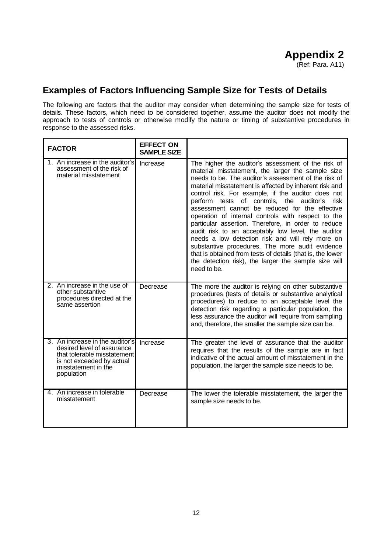# **Examples of Factors Influencing Sample Size for Tests of Details**

The following are factors that the auditor may consider when determining the sample size for tests of details. These factors, which need to be considered together, assume the auditor does not modify the approach to tests of controls or otherwise modify the nature or timing of substantive procedures in response to the assessed risks.

| <b>FACTOR</b>                                                                                                                                                  | <b>EFFECT ON</b><br><b>SAMPLE SIZE</b> |                                                                                                                                                                                                                                                                                                                                                                                                                                                                                                                                                                                                                                                                                                                                                                                                            |
|----------------------------------------------------------------------------------------------------------------------------------------------------------------|----------------------------------------|------------------------------------------------------------------------------------------------------------------------------------------------------------------------------------------------------------------------------------------------------------------------------------------------------------------------------------------------------------------------------------------------------------------------------------------------------------------------------------------------------------------------------------------------------------------------------------------------------------------------------------------------------------------------------------------------------------------------------------------------------------------------------------------------------------|
| 1. An increase in the auditor's<br>assessment of the risk of<br>material misstatement                                                                          | Increase                               | The higher the auditor's assessment of the risk of<br>material misstatement, the larger the sample size<br>needs to be. The auditor's assessment of the risk of<br>material misstatement is affected by inherent risk and<br>control risk. For example, if the auditor does not<br>perform tests<br>of<br>controls, the auditor's<br>risk<br>assessment cannot be reduced for the effective<br>operation of internal controls with respect to the<br>particular assertion. Therefore, in order to reduce<br>audit risk to an acceptably low level, the auditor<br>needs a low detection risk and will rely more on<br>substantive procedures. The more audit evidence<br>that is obtained from tests of details (that is, the lower<br>the detection risk), the larger the sample size will<br>need to be. |
| 2. An increase in the use of<br>other substantive<br>procedures directed at the<br>same assertion                                                              | Decrease                               | The more the auditor is relying on other substantive<br>procedures (tests of details or substantive analytical<br>procedures) to reduce to an acceptable level the<br>detection risk regarding a particular population, the<br>less assurance the auditor will require from sampling<br>and, therefore, the smaller the sample size can be.                                                                                                                                                                                                                                                                                                                                                                                                                                                                |
| 3. An increase in the auditor's<br>desired level of assurance<br>that tolerable misstatement<br>is not exceeded by actual<br>misstatement in the<br>population | Increase                               | The greater the level of assurance that the auditor<br>requires that the results of the sample are in fact<br>indicative of the actual amount of misstatement in the<br>population, the larger the sample size needs to be.                                                                                                                                                                                                                                                                                                                                                                                                                                                                                                                                                                                |
| 4. An increase in tolerable<br>misstatement                                                                                                                    | Decrease                               | The lower the tolerable misstatement, the larger the<br>sample size needs to be.                                                                                                                                                                                                                                                                                                                                                                                                                                                                                                                                                                                                                                                                                                                           |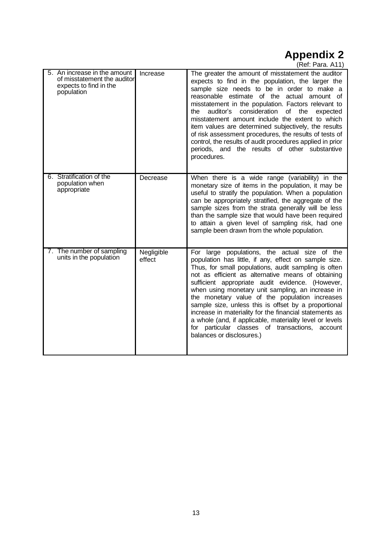# **Appendix 2**

|                                                                                                     |                      | (Ref: Para. A11)                                                                                                                                                                                                                                                                                                                                                                                                                                                                                                                                                                                                                               |
|-----------------------------------------------------------------------------------------------------|----------------------|------------------------------------------------------------------------------------------------------------------------------------------------------------------------------------------------------------------------------------------------------------------------------------------------------------------------------------------------------------------------------------------------------------------------------------------------------------------------------------------------------------------------------------------------------------------------------------------------------------------------------------------------|
| 5. An increase in the amount<br>of misstatement the auditor<br>expects to find in the<br>population | Increase             | The greater the amount of misstatement the auditor<br>expects to find in the population, the larger the<br>sample size needs to be in order to make a<br>reasonable estimate of the actual amount of<br>misstatement in the population. Factors relevant to<br>consideration<br>auditor's<br>of the<br>the<br>expected<br>misstatement amount include the extent to which<br>item values are determined subjectively, the results<br>of risk assessment procedures, the results of tests of<br>control, the results of audit procedures applied in prior<br>periods, and the results of other substantive<br>procedures.                       |
| 6. Stratification of the<br>population when<br>appropriate                                          | Decrease             | When there is a wide range (variability) in the<br>monetary size of items in the population, it may be<br>useful to stratify the population. When a population<br>can be appropriately stratified, the aggregate of the<br>sample sizes from the strata generally will be less<br>than the sample size that would have been required<br>to attain a given level of sampling risk, had one<br>sample been drawn from the whole population.                                                                                                                                                                                                      |
| 7. The number of sampling<br>units in the population                                                | Negligible<br>effect | For large populations, the actual size of the<br>population has little, if any, effect on sample size.<br>Thus, for small populations, audit sampling is often<br>not as efficient as alternative means of obtaining<br>sufficient appropriate audit evidence. (However,<br>when using monetary unit sampling, an increase in<br>the monetary value of the population increases<br>sample size, unless this is offset by a proportional<br>increase in materiality for the financial statements as<br>a whole (and, if applicable, materiality level or levels<br>for particular classes of transactions, account<br>balances or disclosures.) |